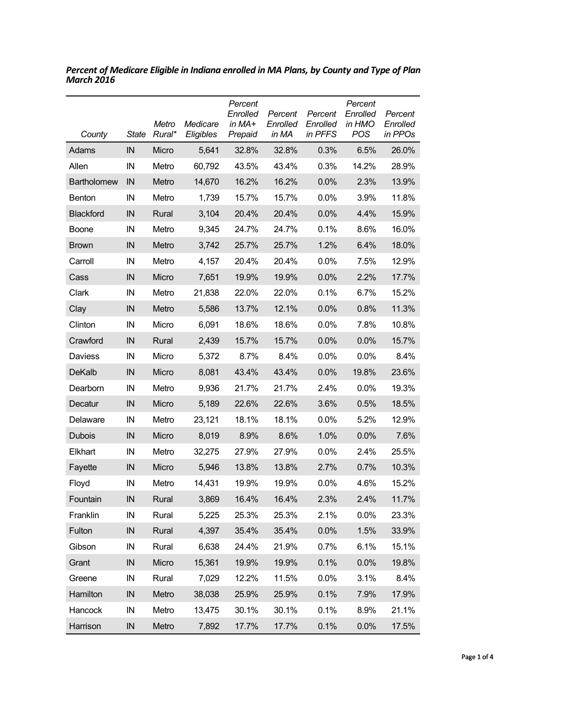| County             | <b>State</b> | Metro<br>Rural* | Medicare<br>Eligibles | Percent<br>Enrolled<br>in $MA+$<br>Prepaid | Percent<br>Enrolled<br>in MA | Percent<br>Enrolled<br>in PFFS | Percent<br>Enrolled<br>in HMO<br>POS | Percent<br>Enrolled<br>in PPOs |
|--------------------|--------------|-----------------|-----------------------|--------------------------------------------|------------------------------|--------------------------------|--------------------------------------|--------------------------------|
| Adams              | IN           | Micro           | 5,641                 | 32.8%                                      | 32.8%                        | 0.3%                           | 6.5%                                 | 26.0%                          |
| Allen              | IN           | Metro           | 60,792                | 43.5%                                      | 43.4%                        | 0.3%                           | 14.2%                                | 28.9%                          |
| <b>Bartholomew</b> | IN           | Metro           | 14,670                | 16.2%                                      | 16.2%                        | 0.0%                           | 2.3%                                 | 13.9%                          |
| <b>Benton</b>      | IN           | Metro           | 1,739                 | 15.7%                                      | 15.7%                        | 0.0%                           | 3.9%                                 | 11.8%                          |
| <b>Blackford</b>   | IN           | Rural           | 3,104                 | 20.4%                                      | 20.4%                        | 0.0%                           | 4.4%                                 | 15.9%                          |
| <b>Boone</b>       | IN           | Metro           | 9,345                 | 24.7%                                      | 24.7%                        | 0.1%                           | 8.6%                                 | 16.0%                          |
| <b>Brown</b>       | IN           | Metro           | 3,742                 | 25.7%                                      | 25.7%                        | 1.2%                           | 6.4%                                 | 18.0%                          |
| Carroll            | IN           | Metro           | 4,157                 | 20.4%                                      | 20.4%                        | 0.0%                           | 7.5%                                 | 12.9%                          |
| Cass               | IN           | Micro           | 7,651                 | 19.9%                                      | 19.9%                        | 0.0%                           | 2.2%                                 | 17.7%                          |
| Clark              | IN           | Metro           | 21,838                | 22.0%                                      | 22.0%                        | 0.1%                           | 6.7%                                 | 15.2%                          |
| Clay               | IN           | Metro           | 5,586                 | 13.7%                                      | 12.1%                        | 0.0%                           | 0.8%                                 | 11.3%                          |
| Clinton            | IN           | Micro           | 6,091                 | 18.6%                                      | 18.6%                        | 0.0%                           | 7.8%                                 | 10.8%                          |
| Crawford           | IN           | Rural           | 2,439                 | 15.7%                                      | 15.7%                        | 0.0%                           | 0.0%                                 | 15.7%                          |
| Daviess            | IN           | Micro           | 5,372                 | 8.7%                                       | 8.4%                         | 0.0%                           | 0.0%                                 | 8.4%                           |
| DeKalb             | IN           | Micro           | 8,081                 | 43.4%                                      | 43.4%                        | 0.0%                           | 19.8%                                | 23.6%                          |
| Dearborn           | IN           | Metro           | 9,936                 | 21.7%                                      | 21.7%                        | 2.4%                           | $0.0\%$                              | 19.3%                          |
| Decatur            | IN           | Micro           | 5,189                 | 22.6%                                      | 22.6%                        | 3.6%                           | 0.5%                                 | 18.5%                          |
| Delaware           | IN           | Metro           | 23,121                | 18.1%                                      | 18.1%                        | 0.0%                           | 5.2%                                 | 12.9%                          |
| Dubois             | IN           | Micro           | 8,019                 | 8.9%                                       | 8.6%                         | 1.0%                           | 0.0%                                 | 7.6%                           |
| Elkhart            | IN           | Metro           | 32,275                | 27.9%                                      | 27.9%                        | 0.0%                           | 2.4%                                 | 25.5%                          |
| Fayette            | IN           | Micro           | 5,946                 | 13.8%                                      | 13.8%                        | 2.7%                           | 0.7%                                 | 10.3%                          |
| Floyd              | IN           | Metro           | 14,431                | 19.9%                                      | 19.9%                        | 0.0%                           | 4.6%                                 | 15.2%                          |
| Fountain           | IN           | Rural           | 3,869                 | 16.4%                                      | 16.4%                        | 2.3%                           | 2.4%                                 | 11.7%                          |
| Franklin           | IN           | Rural           | 5,225                 | 25.3%                                      | 25.3%                        | 2.1%                           | 0.0%                                 | 23.3%                          |
| Fulton             | IN           | Rural           | 4,397                 | 35.4%                                      | 35.4%                        | 0.0%                           | 1.5%                                 | 33.9%                          |
| Gibson             | IN           | Rural           | 6,638                 | 24.4%                                      | 21.9%                        | 0.7%                           | 6.1%                                 | 15.1%                          |
| Grant              | IN           | Micro           | 15,361                | 19.9%                                      | 19.9%                        | 0.1%                           | 0.0%                                 | 19.8%                          |
| Greene             | IN           | Rural           | 7,029                 | 12.2%                                      | 11.5%                        | 0.0%                           | 3.1%                                 | 8.4%                           |
| Hamilton           | IN           | Metro           | 38,038                | 25.9%                                      | 25.9%                        | 0.1%                           | 7.9%                                 | 17.9%                          |
| Hancock            | IN           | Metro           | 13,475                | 30.1%                                      | 30.1%                        | 0.1%                           | 8.9%                                 | 21.1%                          |
| Harrison           | IN           | Metro           | 7,892                 | 17.7%                                      | 17.7%                        | 0.1%                           | 0.0%                                 | 17.5%                          |

*Percent of Medicare Eligible in Indiana enrolled in MA Plans, by County and Type of Plan March 2016*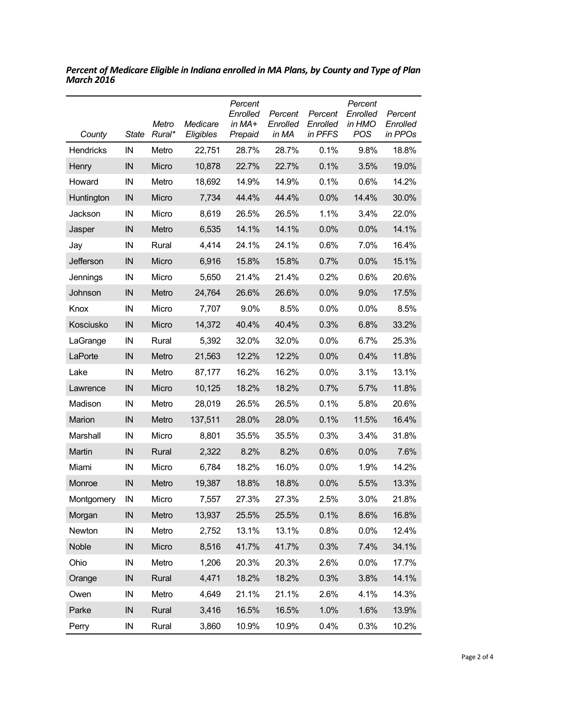| County     | <b>State</b> | Metro<br>Rural* | Medicare<br>Eligibles | Percent<br>Enrolled<br>in MA+<br>Prepaid | Percent<br>Enrolled<br>in MA | Percent<br>Enrolled<br>in PFFS | Percent<br>Enrolled<br>in HMO<br><b>POS</b> | Percent<br>Enrolled<br>in PPOs |
|------------|--------------|-----------------|-----------------------|------------------------------------------|------------------------------|--------------------------------|---------------------------------------------|--------------------------------|
| Hendricks  | IN           | Metro           | 22,751                | 28.7%                                    | 28.7%                        | 0.1%                           | 9.8%                                        | 18.8%                          |
| Henry      | IN           | Micro           | 10,878                | 22.7%                                    | 22.7%                        | 0.1%                           | 3.5%                                        | 19.0%                          |
| Howard     | IN           | Metro           | 18,692                | 14.9%                                    | 14.9%                        | 0.1%                           | 0.6%                                        | 14.2%                          |
| Huntington | IN           | Micro           | 7,734                 | 44.4%                                    | 44.4%                        | 0.0%                           | 14.4%                                       | 30.0%                          |
| Jackson    | IN           | Micro           | 8,619                 | 26.5%                                    | 26.5%                        | 1.1%                           | 3.4%                                        | 22.0%                          |
| Jasper     | IN           | Metro           | 6,535                 | 14.1%                                    | 14.1%                        | 0.0%                           | 0.0%                                        | 14.1%                          |
| Jay        | IN           | Rural           | 4,414                 | 24.1%                                    | 24.1%                        | 0.6%                           | 7.0%                                        | 16.4%                          |
| Jefferson  | IN           | Micro           | 6,916                 | 15.8%                                    | 15.8%                        | 0.7%                           | 0.0%                                        | 15.1%                          |
| Jennings   | IN           | Micro           | 5,650                 | 21.4%                                    | 21.4%                        | 0.2%                           | 0.6%                                        | 20.6%                          |
| Johnson    | IN           | Metro           | 24,764                | 26.6%                                    | 26.6%                        | 0.0%                           | 9.0%                                        | 17.5%                          |
| Knox       | IN           | Micro           | 7,707                 | 9.0%                                     | 8.5%                         | 0.0%                           | 0.0%                                        | 8.5%                           |
| Kosciusko  | IN           | Micro           | 14,372                | 40.4%                                    | 40.4%                        | 0.3%                           | 6.8%                                        | 33.2%                          |
| LaGrange   | IN           | Rural           | 5,392                 | 32.0%                                    | 32.0%                        | 0.0%                           | 6.7%                                        | 25.3%                          |
| LaPorte    | IN           | Metro           | 21,563                | 12.2%                                    | 12.2%                        | 0.0%                           | 0.4%                                        | 11.8%                          |
| Lake       | IN           | Metro           | 87,177                | 16.2%                                    | 16.2%                        | $0.0\%$                        | 3.1%                                        | 13.1%                          |
| Lawrence   | IN           | Micro           | 10,125                | 18.2%                                    | 18.2%                        | 0.7%                           | 5.7%                                        | 11.8%                          |
| Madison    | IN           | Metro           | 28,019                | 26.5%                                    | 26.5%                        | 0.1%                           | 5.8%                                        | 20.6%                          |
| Marion     | IN           | Metro           | 137,511               | 28.0%                                    | 28.0%                        | 0.1%                           | 11.5%                                       | 16.4%                          |
| Marshall   | IN           | Micro           | 8,801                 | 35.5%                                    | 35.5%                        | 0.3%                           | 3.4%                                        | 31.8%                          |
| Martin     | IN           | Rural           | 2,322                 | 8.2%                                     | 8.2%                         | 0.6%                           | 0.0%                                        | 7.6%                           |
| Miami      | IN           | Micro           | 6,784                 | 18.2%                                    | 16.0%                        | 0.0%                           | 1.9%                                        | 14.2%                          |
| Monroe     | IN           | Metro           | 19,387                | 18.8%                                    | 18.8%                        | 0.0%                           | 5.5%                                        | 13.3%                          |
| Montgomery | IN           | Micro           | 7,557                 | 27.3%                                    | 27.3%                        | 2.5%                           | 3.0%                                        | 21.8%                          |
| Morgan     | IN           | Metro           | 13,937                | 25.5%                                    | 25.5%                        | 0.1%                           | 8.6%                                        | 16.8%                          |
| Newton     | IN           | Metro           | 2,752                 | 13.1%                                    | 13.1%                        | 0.8%                           | 0.0%                                        | 12.4%                          |
| Noble      | IN           | Micro           | 8,516                 | 41.7%                                    | 41.7%                        | 0.3%                           | 7.4%                                        | 34.1%                          |
| Ohio       | IN           | Metro           | 1,206                 | 20.3%                                    | 20.3%                        | 2.6%                           | 0.0%                                        | 17.7%                          |
| Orange     | IN           | Rural           | 4,471                 | 18.2%                                    | 18.2%                        | 0.3%                           | 3.8%                                        | 14.1%                          |
| Owen       | ${\sf IN}$   | Metro           | 4,649                 | 21.1%                                    | 21.1%                        | 2.6%                           | 4.1%                                        | 14.3%                          |
| Parke      | IN           | Rural           | 3,416                 | 16.5%                                    | 16.5%                        | 1.0%                           | 1.6%                                        | 13.9%                          |
| Perry      | ${\sf IN}$   | Rural           | 3,860                 | 10.9%                                    | 10.9%                        | 0.4%                           | 0.3%                                        | 10.2%                          |

*Percent of Medicare Eligible in Indiana enrolled in MA Plans, by County and Type of Plan March 2016*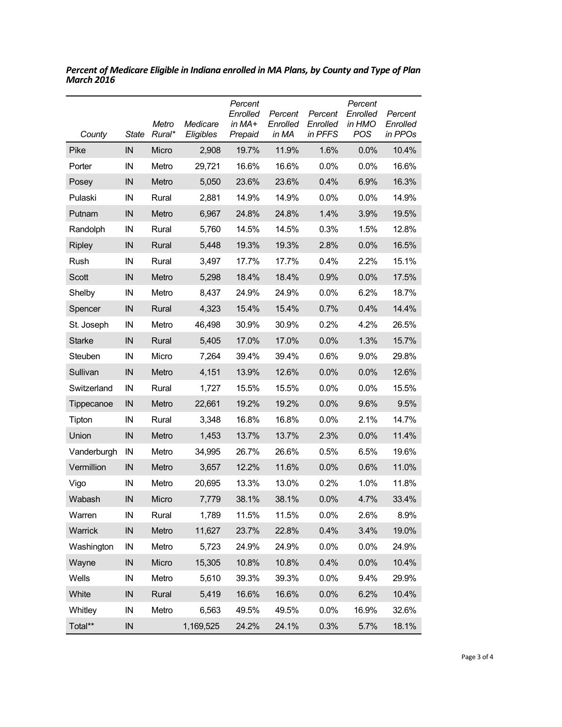| County        | State    | Metro<br>Rural* | Medicare<br>Eligibles | Percent<br>Enrolled<br>in $MA+$<br>Prepaid | Percent<br>Enrolled<br>in MA | Percent<br>Enrolled<br>in PFFS | Percent<br>Enrolled<br>in HMO<br><b>POS</b> | Percent<br>Enrolled<br>in PPOs |
|---------------|----------|-----------------|-----------------------|--------------------------------------------|------------------------------|--------------------------------|---------------------------------------------|--------------------------------|
| Pike          | IN       | Micro           | 2,908                 | 19.7%                                      | 11.9%                        | 1.6%                           | 0.0%                                        | 10.4%                          |
| Porter        | IN       | Metro           | 29,721                | 16.6%                                      | 16.6%                        | 0.0%                           | 0.0%                                        | 16.6%                          |
| Posey         | IN       | Metro           | 5,050                 | 23.6%                                      | 23.6%                        | 0.4%                           | 6.9%                                        | 16.3%                          |
| Pulaski       | IN       | Rural           | 2,881                 | 14.9%                                      | 14.9%                        | $0.0\%$                        | 0.0%                                        | 14.9%                          |
| Putnam        | IN       | Metro           | 6,967                 | 24.8%                                      | 24.8%                        | 1.4%                           | 3.9%                                        | 19.5%                          |
| Randolph      | IN       | Rural           | 5,760                 | 14.5%                                      | 14.5%                        | 0.3%                           | 1.5%                                        | 12.8%                          |
| <b>Ripley</b> | IN       | Rural           | 5,448                 | 19.3%                                      | 19.3%                        | 2.8%                           | 0.0%                                        | 16.5%                          |
| Rush          | IN       | Rural           | 3,497                 | 17.7%                                      | 17.7%                        | 0.4%                           | 2.2%                                        | 15.1%                          |
| Scott         | IN       | Metro           | 5,298                 | 18.4%                                      | 18.4%                        | 0.9%                           | 0.0%                                        | 17.5%                          |
| Shelby        | IN       | Metro           | 8,437                 | 24.9%                                      | 24.9%                        | 0.0%                           | 6.2%                                        | 18.7%                          |
| Spencer       | IN       | Rural           | 4,323                 | 15.4%                                      | 15.4%                        | 0.7%                           | 0.4%                                        | 14.4%                          |
| St. Joseph    | IN       | Metro           | 46,498                | 30.9%                                      | 30.9%                        | 0.2%                           | 4.2%                                        | 26.5%                          |
| <b>Starke</b> | IN       | Rural           | 5,405                 | 17.0%                                      | 17.0%                        | 0.0%                           | 1.3%                                        | 15.7%                          |
| Steuben       | IN       | Micro           | 7,264                 | 39.4%                                      | 39.4%                        | 0.6%                           | 9.0%                                        | 29.8%                          |
| Sullivan      | IN       | Metro           | 4,151                 | 13.9%                                      | 12.6%                        | 0.0%                           | 0.0%                                        | 12.6%                          |
| Switzerland   | IN       | Rural           | 1,727                 | 15.5%                                      | 15.5%                        | $0.0\%$                        | 0.0%                                        | 15.5%                          |
| Tippecanoe    | IN       | Metro           | 22,661                | 19.2%                                      | 19.2%                        | 0.0%                           | 9.6%                                        | 9.5%                           |
| Tipton        | IN       | Rural           | 3,348                 | 16.8%                                      | 16.8%                        | $0.0\%$                        | 2.1%                                        | 14.7%                          |
| Union         | IN       | Metro           | 1,453                 | 13.7%                                      | 13.7%                        | 2.3%                           | 0.0%                                        | 11.4%                          |
| Vanderburgh   | IN       | Metro           | 34,995                | 26.7%                                      | 26.6%                        | 0.5%                           | 6.5%                                        | 19.6%                          |
| Vermillion    | IN       | Metro           | 3,657                 | 12.2%                                      | 11.6%                        | 0.0%                           | 0.6%                                        | 11.0%                          |
| Vigo          | IN       | Metro           | 20,695                | 13.3%                                      | 13.0%                        | 0.2%                           | 1.0%                                        | 11.8%                          |
| Wabash        | IN       | Micro           | 7,779                 | 38.1%                                      | 38.1%                        | 0.0%                           | 4.7%                                        | 33.4%                          |
| Warren        | IN       | Rural           | 1,789                 | 11.5%                                      | 11.5%                        | 0.0%                           | 2.6%                                        | 8.9%                           |
| Warrick       | IN       | Metro           | 11,627                | 23.7%                                      | 22.8%                        | 0.4%                           | 3.4%                                        | 19.0%                          |
| Washington    | IN       | Metro           | 5,723                 | 24.9%                                      | 24.9%                        | 0.0%                           | 0.0%                                        | 24.9%                          |
| Wayne         | IN       | Micro           | 15,305                | 10.8%                                      | 10.8%                        | 0.4%                           | 0.0%                                        | 10.4%                          |
| Wells         | IN       | Metro           | 5,610                 | 39.3%                                      | 39.3%                        | 0.0%                           | 9.4%                                        | 29.9%                          |
| White         | IN       | Rural           | 5,419                 | 16.6%                                      | 16.6%                        | 0.0%                           | 6.2%                                        | 10.4%                          |
| Whitley       | IN       | Metro           | 6,563                 | 49.5%                                      | 49.5%                        | 0.0%                           | 16.9%                                       | 32.6%                          |
| Total**       | $\sf IN$ |                 | 1,169,525             | 24.2%                                      | 24.1%                        | 0.3%                           | 5.7%                                        | 18.1%                          |

*Percent of Medicare Eligible in Indiana enrolled in MA Plans, by County and Type of Plan March 2016*